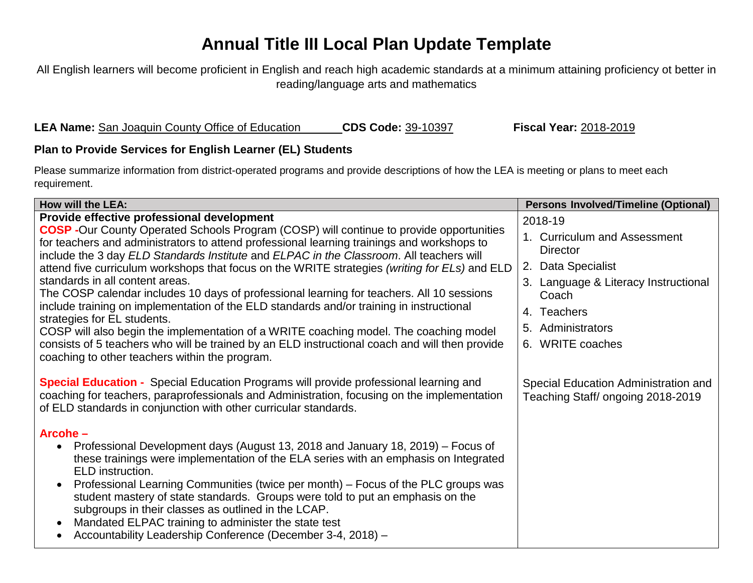## **Annual Title III Local Plan Update Template**

All English learners will become proficient in English and reach high academic standards at a minimum attaining proficiency ot better in reading/language arts and mathematics

**LEA Name:** San Joaquin County Office of Education **CDS Code:** 39-10397 **Fiscal Year:** 2018-2019

## **Plan to Provide Services for English Learner (EL) Students**

Please summarize information from district-operated programs and provide descriptions of how the LEA is meeting or plans to meet each requirement.

| How will the LEA:                                                                                                                                                                                                                                                                       | <b>Persons Involved/Timeline (Optional)</b>                               |
|-----------------------------------------------------------------------------------------------------------------------------------------------------------------------------------------------------------------------------------------------------------------------------------------|---------------------------------------------------------------------------|
| Provide effective professional development                                                                                                                                                                                                                                              | 2018-19                                                                   |
| <b>COSP</b> -Our County Operated Schools Program (COSP) will continue to provide opportunities<br>for teachers and administrators to attend professional learning trainings and workshops to<br>include the 3 day ELD Standards Institute and ELPAC in the Classroom. All teachers will | 1. Curriculum and Assessment<br><b>Director</b>                           |
| attend five curriculum workshops that focus on the WRITE strategies (writing for ELs) and ELD                                                                                                                                                                                           | 2. Data Specialist                                                        |
| standards in all content areas.<br>The COSP calendar includes 10 days of professional learning for teachers. All 10 sessions                                                                                                                                                            | 3. Language & Literacy Instructional<br>Coach                             |
| include training on implementation of the ELD standards and/or training in instructional                                                                                                                                                                                                | 4. Teachers                                                               |
| strategies for EL students.<br>COSP will also begin the implementation of a WRITE coaching model. The coaching model                                                                                                                                                                    | Administrators<br>5.                                                      |
| consists of 5 teachers who will be trained by an ELD instructional coach and will then provide<br>coaching to other teachers within the program.                                                                                                                                        | 6. WRITE coaches                                                          |
| <b>Special Education -</b> Special Education Programs will provide professional learning and<br>coaching for teachers, paraprofessionals and Administration, focusing on the implementation<br>of ELD standards in conjunction with other curricular standards.                         | Special Education Administration and<br>Teaching Staff/ ongoing 2018-2019 |
| Arcohe-                                                                                                                                                                                                                                                                                 |                                                                           |
| Professional Development days (August 13, 2018 and January 18, 2019) – Focus of<br>$\bullet$<br>these trainings were implementation of the ELA series with an emphasis on Integrated<br>ELD instruction.                                                                                |                                                                           |
| Professional Learning Communities (twice per month) – Focus of the PLC groups was<br>$\bullet$<br>student mastery of state standards. Groups were told to put an emphasis on the<br>subgroups in their classes as outlined in the LCAP.                                                 |                                                                           |
| Mandated ELPAC training to administer the state test<br>$\bullet$<br>Accountability Leadership Conference (December 3-4, 2018) -                                                                                                                                                        |                                                                           |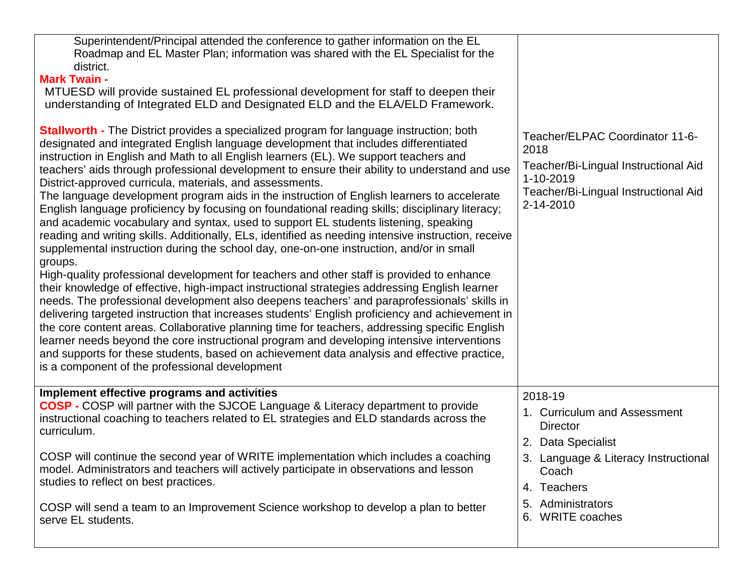| Superintendent/Principal attended the conference to gather information on the EL<br>Roadmap and EL Master Plan; information was shared with the EL Specialist for the<br>district.<br><b>Mark Twain -</b><br>MTUESD will provide sustained EL professional development for staff to deepen their<br>understanding of Integrated ELD and Designated ELD and the ELA/ELD Framework.                                                                                                                                                                                                                                                                                                                                                                                                                                                                                                                                                                                                                                                                                                                                                                                                                                                                                                                                                                                                                                                                                                                                                                                                                                                                                                                |                                                                                                                                                   |
|--------------------------------------------------------------------------------------------------------------------------------------------------------------------------------------------------------------------------------------------------------------------------------------------------------------------------------------------------------------------------------------------------------------------------------------------------------------------------------------------------------------------------------------------------------------------------------------------------------------------------------------------------------------------------------------------------------------------------------------------------------------------------------------------------------------------------------------------------------------------------------------------------------------------------------------------------------------------------------------------------------------------------------------------------------------------------------------------------------------------------------------------------------------------------------------------------------------------------------------------------------------------------------------------------------------------------------------------------------------------------------------------------------------------------------------------------------------------------------------------------------------------------------------------------------------------------------------------------------------------------------------------------------------------------------------------------|---------------------------------------------------------------------------------------------------------------------------------------------------|
| <b>Stallworth - The District provides a specialized program for language instruction; both</b><br>designated and integrated English language development that includes differentiated<br>instruction in English and Math to all English learners (EL). We support teachers and<br>teachers' aids through professional development to ensure their ability to understand and use<br>District-approved curricula, materials, and assessments.<br>The language development program aids in the instruction of English learners to accelerate<br>English language proficiency by focusing on foundational reading skills; disciplinary literacy;<br>and academic vocabulary and syntax, used to support EL students listening, speaking<br>reading and writing skills. Additionally, ELs, identified as needing intensive instruction, receive<br>supplemental instruction during the school day, one-on-one instruction, and/or in small<br>groups.<br>High-quality professional development for teachers and other staff is provided to enhance<br>their knowledge of effective, high-impact instructional strategies addressing English learner<br>needs. The professional development also deepens teachers' and paraprofessionals' skills in<br>delivering targeted instruction that increases students' English proficiency and achievement in<br>the core content areas. Collaborative planning time for teachers, addressing specific English<br>learner needs beyond the core instructional program and developing intensive interventions<br>and supports for these students, based on achievement data analysis and effective practice,<br>is a component of the professional development | Teacher/ELPAC Coordinator 11-6-<br>2018<br>Teacher/Bi-Lingual Instructional Aid<br>1-10-2019<br>Teacher/Bi-Lingual Instructional Aid<br>2-14-2010 |
| Implement effective programs and activities<br><b>COSP - COSP will partner with the SJCOE Language &amp; Literacy department to provide</b><br>instructional coaching to teachers related to EL strategies and ELD standards across the                                                                                                                                                                                                                                                                                                                                                                                                                                                                                                                                                                                                                                                                                                                                                                                                                                                                                                                                                                                                                                                                                                                                                                                                                                                                                                                                                                                                                                                          | 2018-19<br>1. Curriculum and Assessment                                                                                                           |
| curriculum.                                                                                                                                                                                                                                                                                                                                                                                                                                                                                                                                                                                                                                                                                                                                                                                                                                                                                                                                                                                                                                                                                                                                                                                                                                                                                                                                                                                                                                                                                                                                                                                                                                                                                      | <b>Director</b><br>2. Data Specialist                                                                                                             |
| COSP will continue the second year of WRITE implementation which includes a coaching<br>model. Administrators and teachers will actively participate in observations and lesson                                                                                                                                                                                                                                                                                                                                                                                                                                                                                                                                                                                                                                                                                                                                                                                                                                                                                                                                                                                                                                                                                                                                                                                                                                                                                                                                                                                                                                                                                                                  | 3. Language & Literacy Instructional<br>Coach                                                                                                     |
| studies to reflect on best practices.                                                                                                                                                                                                                                                                                                                                                                                                                                                                                                                                                                                                                                                                                                                                                                                                                                                                                                                                                                                                                                                                                                                                                                                                                                                                                                                                                                                                                                                                                                                                                                                                                                                            | 4. Teachers                                                                                                                                       |
| COSP will send a team to an Improvement Science workshop to develop a plan to better<br>serve EL students.                                                                                                                                                                                                                                                                                                                                                                                                                                                                                                                                                                                                                                                                                                                                                                                                                                                                                                                                                                                                                                                                                                                                                                                                                                                                                                                                                                                                                                                                                                                                                                                       | 5. Administrators<br>6. WRITE coaches                                                                                                             |
|                                                                                                                                                                                                                                                                                                                                                                                                                                                                                                                                                                                                                                                                                                                                                                                                                                                                                                                                                                                                                                                                                                                                                                                                                                                                                                                                                                                                                                                                                                                                                                                                                                                                                                  |                                                                                                                                                   |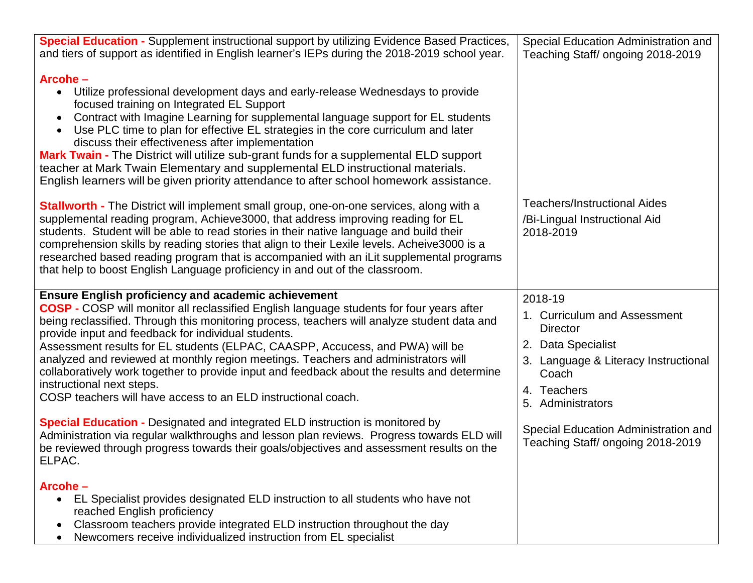| <b>Special Education - Supplement instructional support by utilizing Evidence Based Practices,</b><br>and tiers of support as identified in English learner's IEPs during the 2018-2019 school year.<br>Arcohe-<br>Utilize professional development days and early-release Wednesdays to provide<br>$\bullet$<br>focused training on Integrated EL Support<br>Contract with Imagine Learning for supplemental language support for EL students<br>$\bullet$<br>Use PLC time to plan for effective EL strategies in the core curriculum and later<br>$\bullet$<br>discuss their effectiveness after implementation<br>Mark Twain - The District will utilize sub-grant funds for a supplemental ELD support<br>teacher at Mark Twain Elementary and supplemental ELD instructional materials.<br>English learners will be given priority attendance to after school homework assistance.                                                                                              | Special Education Administration and<br>Teaching Staff/ ongoing 2018-2019                                                                                                                                                                          |
|--------------------------------------------------------------------------------------------------------------------------------------------------------------------------------------------------------------------------------------------------------------------------------------------------------------------------------------------------------------------------------------------------------------------------------------------------------------------------------------------------------------------------------------------------------------------------------------------------------------------------------------------------------------------------------------------------------------------------------------------------------------------------------------------------------------------------------------------------------------------------------------------------------------------------------------------------------------------------------------|----------------------------------------------------------------------------------------------------------------------------------------------------------------------------------------------------------------------------------------------------|
| <b>Stallworth - The District will implement small group, one-on-one services, along with a</b><br>supplemental reading program, Achieve3000, that address improving reading for EL<br>students. Student will be able to read stories in their native language and build their<br>comprehension skills by reading stories that align to their Lexile levels. Acheive 3000 is a<br>researched based reading program that is accompanied with an iLit supplemental programs<br>that help to boost English Language proficiency in and out of the classroom.                                                                                                                                                                                                                                                                                                                                                                                                                             | <b>Teachers/Instructional Aides</b><br>/Bi-Lingual Instructional Aid<br>2018-2019                                                                                                                                                                  |
| <b>Ensure English proficiency and academic achievement</b><br><b>COSP</b> - COSP will monitor all reclassified English language students for four years after<br>being reclassified. Through this monitoring process, teachers will analyze student data and<br>provide input and feedback for individual students.<br>Assessment results for EL students (ELPAC, CAASPP, Accucess, and PWA) will be<br>analyzed and reviewed at monthly region meetings. Teachers and administrators will<br>collaboratively work together to provide input and feedback about the results and determine<br>instructional next steps.<br>COSP teachers will have access to an ELD instructional coach.<br><b>Special Education - Designated and integrated ELD instruction is monitored by</b><br>Administration via regular walkthroughs and lesson plan reviews. Progress towards ELD will<br>be reviewed through progress towards their goals/objectives and assessment results on the<br>ELPAC. | 2018-19<br>1. Curriculum and Assessment<br><b>Director</b><br>2. Data Specialist<br>3. Language & Literacy Instructional<br>Coach<br>4. Teachers<br>5. Administrators<br>Special Education Administration and<br>Teaching Staff/ ongoing 2018-2019 |
| Arcohe-<br>EL Specialist provides designated ELD instruction to all students who have not<br>$\bullet$<br>reached English proficiency<br>Classroom teachers provide integrated ELD instruction throughout the day<br>Newcomers receive individualized instruction from EL specialist                                                                                                                                                                                                                                                                                                                                                                                                                                                                                                                                                                                                                                                                                                 |                                                                                                                                                                                                                                                    |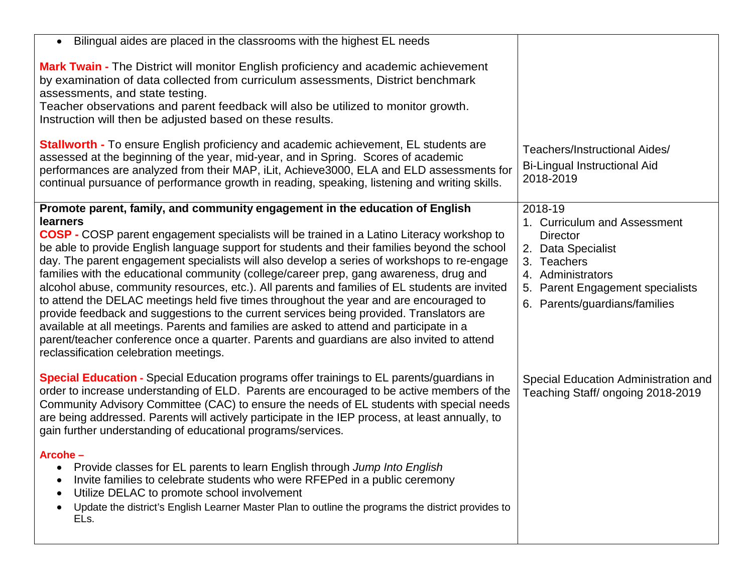| Bilingual aides are placed in the classrooms with the highest EL needs                                                                                                                                                                                                                                                                                                                                                                                                                                                                                                                                                                                                                                                                                                                                                                                                                                                                                                                                                     |                                                                                                                                                                                           |
|----------------------------------------------------------------------------------------------------------------------------------------------------------------------------------------------------------------------------------------------------------------------------------------------------------------------------------------------------------------------------------------------------------------------------------------------------------------------------------------------------------------------------------------------------------------------------------------------------------------------------------------------------------------------------------------------------------------------------------------------------------------------------------------------------------------------------------------------------------------------------------------------------------------------------------------------------------------------------------------------------------------------------|-------------------------------------------------------------------------------------------------------------------------------------------------------------------------------------------|
| Mark Twain - The District will monitor English proficiency and academic achievement<br>by examination of data collected from curriculum assessments, District benchmark<br>assessments, and state testing.<br>Teacher observations and parent feedback will also be utilized to monitor growth.<br>Instruction will then be adjusted based on these results.<br><b>Stallworth - To ensure English proficiency and academic achievement, EL students are</b>                                                                                                                                                                                                                                                                                                                                                                                                                                                                                                                                                                |                                                                                                                                                                                           |
| assessed at the beginning of the year, mid-year, and in Spring. Scores of academic<br>performances are analyzed from their MAP, iLit, Achieve3000, ELA and ELD assessments for<br>continual pursuance of performance growth in reading, speaking, listening and writing skills.                                                                                                                                                                                                                                                                                                                                                                                                                                                                                                                                                                                                                                                                                                                                            | Teachers/Instructional Aides/<br><b>Bi-Lingual Instructional Aid</b><br>2018-2019                                                                                                         |
| Promote parent, family, and community engagement in the education of English<br><b>learners</b><br><b>COSP</b> - COSP parent engagement specialists will be trained in a Latino Literacy workshop to<br>be able to provide English language support for students and their families beyond the school<br>day. The parent engagement specialists will also develop a series of workshops to re-engage<br>families with the educational community (college/career prep, gang awareness, drug and<br>alcohol abuse, community resources, etc.). All parents and families of EL students are invited<br>to attend the DELAC meetings held five times throughout the year and are encouraged to<br>provide feedback and suggestions to the current services being provided. Translators are<br>available at all meetings. Parents and families are asked to attend and participate in a<br>parent/teacher conference once a quarter. Parents and guardians are also invited to attend<br>reclassification celebration meetings. | 2018-19<br>1. Curriculum and Assessment<br><b>Director</b><br>2. Data Specialist<br>3. Teachers<br>4. Administrators<br>5. Parent Engagement specialists<br>6. Parents/guardians/families |
| <b>Special Education -</b> Special Education programs offer trainings to EL parents/guardians in<br>order to increase understanding of ELD. Parents are encouraged to be active members of the<br>Community Advisory Committee (CAC) to ensure the needs of EL students with special needs<br>are being addressed. Parents will actively participate in the IEP process, at least annually, to<br>gain further understanding of educational programs/services.                                                                                                                                                                                                                                                                                                                                                                                                                                                                                                                                                             | Special Education Administration and<br>Teaching Staff/ ongoing 2018-2019                                                                                                                 |
| Arcohe-<br>Provide classes for EL parents to learn English through Jump Into English<br>$\bullet$<br>Invite families to celebrate students who were RFEPed in a public ceremony<br>Utilize DELAC to promote school involvement<br>Update the district's English Learner Master Plan to outline the programs the district provides to<br>ELs.                                                                                                                                                                                                                                                                                                                                                                                                                                                                                                                                                                                                                                                                               |                                                                                                                                                                                           |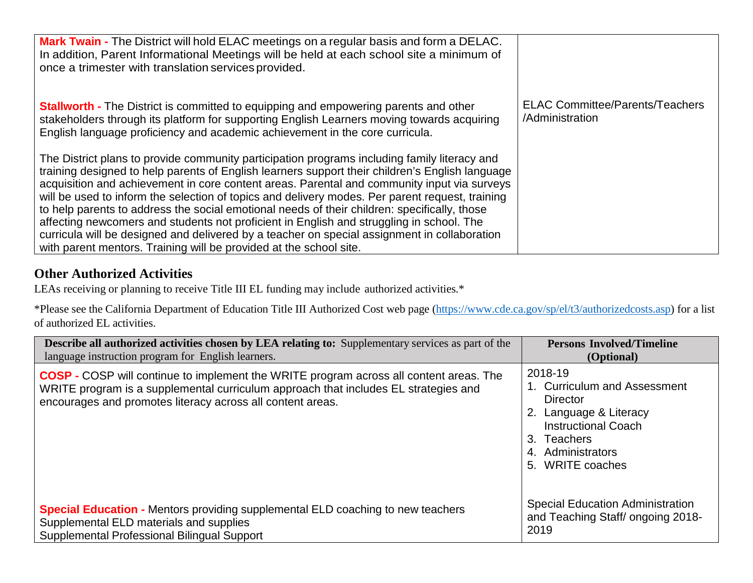| <b>Mark Twain -</b> The District will hold ELAC meetings on a regular basis and form a DELAC.<br>In addition, Parent Informational Meetings will be held at each school site a minimum of<br>once a trimester with translation services provided.                                                                                                                                                                                                                                                                                                                                                                                                                                                                                                                   |                                                           |
|---------------------------------------------------------------------------------------------------------------------------------------------------------------------------------------------------------------------------------------------------------------------------------------------------------------------------------------------------------------------------------------------------------------------------------------------------------------------------------------------------------------------------------------------------------------------------------------------------------------------------------------------------------------------------------------------------------------------------------------------------------------------|-----------------------------------------------------------|
| <b>Stallworth - The District is committed to equipping and empowering parents and other</b><br>stakeholders through its platform for supporting English Learners moving towards acquiring<br>English language proficiency and academic achievement in the core curricula.                                                                                                                                                                                                                                                                                                                                                                                                                                                                                           | <b>ELAC Committee/Parents/Teachers</b><br>/Administration |
| The District plans to provide community participation programs including family literacy and<br>training designed to help parents of English learners support their children's English language<br>acquisition and achievement in core content areas. Parental and community input via surveys<br>will be used to inform the selection of topics and delivery modes. Per parent request, training<br>to help parents to address the social emotional needs of their children: specifically, those<br>affecting newcomers and students not proficient in English and struggling in school. The<br>curricula will be designed and delivered by a teacher on special assignment in collaboration<br>with parent mentors. Training will be provided at the school site. |                                                           |

## **Other Authorized Activities**

LEAs receiving or planning to receive Title III EL funding may include authorized activities.\*

\*Please see the California Department of Education Title III Authorized Cost web page [\(https://www.cde.ca.gov/sp/el/t3/authorizedcosts.asp\)](https://www.cde.ca.gov/sp/el/t3/authorizedcosts.asp) for a list of authorized EL activities.

| <b>Describe all authorized activities chosen by LEA relating to:</b> Supplementary services as part of the                                                                                                                                         | <b>Persons Involved/Timeline</b>                                                                                                                                           |
|----------------------------------------------------------------------------------------------------------------------------------------------------------------------------------------------------------------------------------------------------|----------------------------------------------------------------------------------------------------------------------------------------------------------------------------|
| language instruction program for English learners.                                                                                                                                                                                                 | (Optional)                                                                                                                                                                 |
| <b>COSP</b> - COSP will continue to implement the WRITE program across all content areas. The<br>WRITE program is a supplemental curriculum approach that includes EL strategies and<br>encourages and promotes literacy across all content areas. | 2018-19<br>1. Curriculum and Assessment<br><b>Director</b><br>2. Language & Literacy<br><b>Instructional Coach</b><br>3. Teachers<br>4. Administrators<br>5. WRITE coaches |
| <b>Special Education -</b> Mentors providing supplemental ELD coaching to new teachers                                                                                                                                                             | <b>Special Education Administration</b>                                                                                                                                    |
| Supplemental ELD materials and supplies                                                                                                                                                                                                            | and Teaching Staff/ ongoing 2018-                                                                                                                                          |
| Supplemental Professional Bilingual Support                                                                                                                                                                                                        | 2019                                                                                                                                                                       |